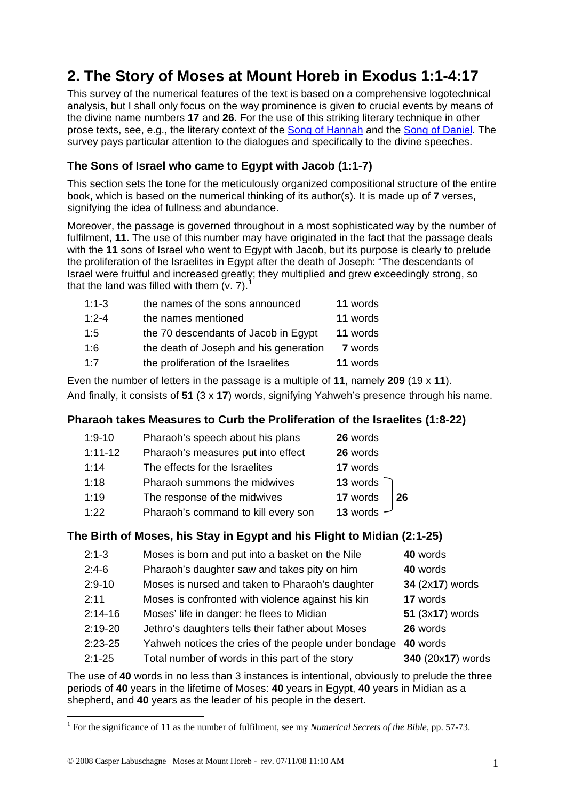# **2. The Story of Moses at Mount Horeb in Exodus 1:1-4:17**

This survey of the numerical features of the text is based on a comprehensive logotechnical analysis, but I shall only focus on the way prominence is given to crucial events by means of the divine name numbers **17** and **26**. For the use of this striking literary technique in other prose texts, see, e.g., the literary context of the [Song of Hannah](http://www.labuschagne.nl/4.1sam2.pdf) and the [Song of Daniel](http://www.labuschagne.nl/9.dan2.pdf). The survey pays particular attention to the dialogues and specifically to the divine speeches.

### **The Sons of Israel who came to Egypt with Jacob (1:1-7)**

This section sets the tone for the meticulously organized compositional structure of the entire book, which is based on the numerical thinking of its author(s). It is made up of **7** verses, signifying the idea of fullness and abundance.

Moreover, the passage is governed throughout in a most sophisticated way by the number of fulfilment, **11**. The use of this number may have originated in the fact that the passage deals with the **11** sons of Israel who went to Egypt with Jacob, but its purpose is clearly to prelude the proliferation of the Israelites in Egypt after the death of Joseph: "The descendants of Israel were fruitful and increased greatly; they multiplied and grew exceedingly strong, so that the land was filled with them  $(v. 7)$ .<sup>[1](#page-0-0)</sup>

| $1:1-3$   | the names of the sons announced        | 11 words       |
|-----------|----------------------------------------|----------------|
| $1:2 - 4$ | the names mentioned                    | 11 words       |
| 1:5       | the 70 descendants of Jacob in Egypt   | 11 words       |
| 1:6       | the death of Joseph and his generation | <b>7</b> words |
| 1.7       | the proliferation of the Israelites    | 11 words       |

Even the number of letters in the passage is a multiple of **11**, namely **209** (19 x **11**). And finally, it consists of **51** (3 x **17**) words, signifying Yahweh's presence through his name.

#### **Pharaoh takes Measures to Curb the Proliferation of the Israelites (1:8-22)**

| $1:9 - 10$ | Pharaoh's speech about his plans    | 26 words     |    |
|------------|-------------------------------------|--------------|----|
| $1:11-12$  | Pharaoh's measures put into effect  | 26 words     |    |
| 1:14       | The effects for the Israelites      | 17 words     |    |
| 1:18       | Pharaoh summons the midwives        | 13 words     |    |
| 1:19       | The response of the midwives        | 17 words     | 26 |
| 1:22       | Pharaoh's command to kill every son | 13 words $-$ |    |

#### **The Birth of Moses, his Stay in Egypt and his Flight to Midian (2:1-25)**

| $2:1-3$    | Moses is born and put into a basket on the Nile      | 40 words          |
|------------|------------------------------------------------------|-------------------|
| $2:4-6$    | Pharaoh's daughter saw and takes pity on him         | 40 words          |
| $2:9 - 10$ | Moses is nursed and taken to Pharaoh's daughter      | 34 (2x17) words   |
| 2:11       | Moses is confronted with violence against his kin    | 17 words          |
| $2:14-16$  | Moses' life in danger: he flees to Midian            | 51 (3x17) words   |
| $2:19-20$  | Jethro's daughters tells their father about Moses    | 26 words          |
| $2:23-25$  | Yahweh notices the cries of the people under bondage | 40 words          |
| $2:1 - 25$ | Total number of words in this part of the story      | 340 (20x17) words |

The use of **40** words in no less than 3 instances is intentional, obviously to prelude the three periods of **40** years in the lifetime of Moses: **40** years in Egypt, **40** years in Midian as a shepherd, and **40** years as the leader of his people in the desert.

1

<span id="page-0-0"></span><sup>&</sup>lt;sup>1</sup> For the significance of 11 as the number of fulfilment, see my *Numerical Secrets of the Bible*, pp. 57-73.